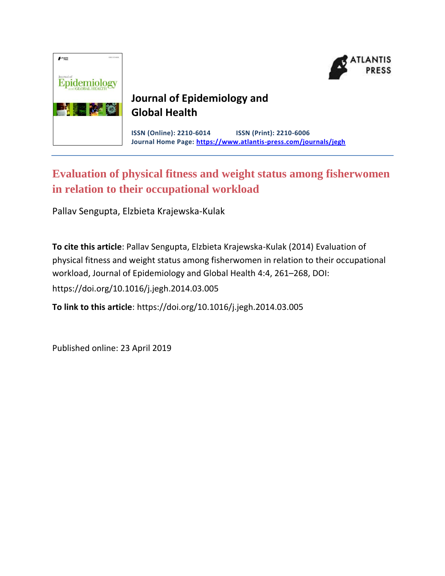

# **Journal of Epidemiology and Global Health**

**ISSN (Online): 2210-6014 ISSN (Print): 2210-6006 Journal Home Page: <https://www.atlantis-press.com/journals/jegh>**

# **Evaluation of physical fitness and weight status among fisherwomen in relation to their occupational workload**

Pallav Sengupta, Elzbieta Krajewska-Kulak

**To cite this article**: Pallav Sengupta, Elzbieta Krajewska-Kulak (2014) Evaluation of physical fitness and weight status among fisherwomen in relation to their occupational workload, Journal of Epidemiology and Global Health 4:4, 261–268, DOI: https://doi.org/10.1016/j.jegh.2014.03.005

**To link to this article**: https://doi.org/10.1016/j.jegh.2014.03.005

Published online: 23 April 2019

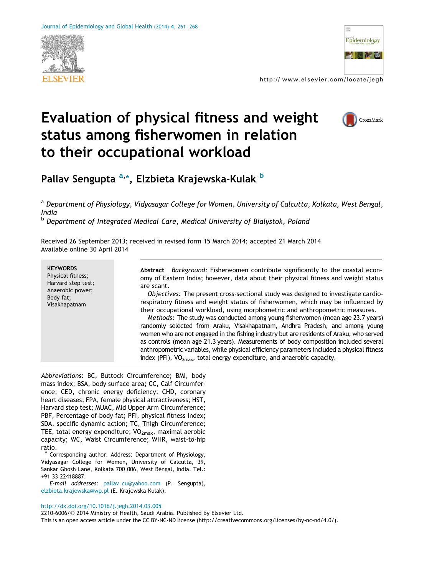



http:// www.elsevier.com/locate/jegh

# Evaluation of physical fitness and weight status among fisherwomen in relation to their occupational workload



Pallav Sengupta <sup>a,</sup>\*, Elzbieta Krajewska-Kulak <sup>b</sup>

a Department of Physiology, Vidyasagar College for Women, University of Calcutta, Kolkata, West Bengal, India

**b** Department of Integrated Medical Care, Medical University of Bialystok, Poland

Received 26 September 2013; received in revised form 15 March 2014; accepted 21 March 2014 Available online 30 April 2014

| <b>KEYWORDS</b><br>Physical fitness;<br>Harvard step test;<br>Anaerobic power;<br>Body fat:<br>Visakhapatnam | Background: Fisherwomen contribute significantly to the coastal econ-<br><b>Abstract</b><br>omy of Eastern India; however, data about their physical fitness and weight status<br>are scant.<br>Objectives: The present cross-sectional study was designed to investigate cardio-<br>respiratory fitness and weight status of fisherwomen, which may be influenced by<br>their occupational workload, using morphometric and anthropometric measures.<br>Methods: The study was conducted among young fisherwomen (mean age 23.7 years)<br>randomly selected from Araku, Visakhapatnam, Andhra Pradesh, and among young<br>women who are not engaged in the fishing industry but are residents of Araku, who served<br>as controls (mean age 21.3 years). Measurements of body composition included several |
|--------------------------------------------------------------------------------------------------------------|-------------------------------------------------------------------------------------------------------------------------------------------------------------------------------------------------------------------------------------------------------------------------------------------------------------------------------------------------------------------------------------------------------------------------------------------------------------------------------------------------------------------------------------------------------------------------------------------------------------------------------------------------------------------------------------------------------------------------------------------------------------------------------------------------------------|
|                                                                                                              | anthropometric variables, while physical efficiency parameters included a physical fitness<br>index (PFI), $VO_{2max}$ , total energy expenditure, and anaerobic capacity.                                                                                                                                                                                                                                                                                                                                                                                                                                                                                                                                                                                                                                  |

Abbreviations: BC, Buttock Circumference; BMI, body mass index; BSA, body surface area; CC, Calf Circumference; CED, chronic energy deficiency; CHD, coronary heart diseases; FPA, female physical attractiveness; HST, Harvard step test; MUAC, Mid Upper Arm Circumference; PBF, Percentage of body fat; PFI, physical fitness index; SDA, specific dynamic action; TC, Thigh Circumference; TEE, total energy expenditure;  $VO<sub>2max</sub>$ , maximal aerobic capacity; WC, Waist Circumference; WHR, waist-to-hip ratio.

Corresponding author. Address: Department of Physiology, Vidyasagar College for Women, University of Calcutta, 39, Sankar Ghosh Lane, Kolkata 700 006, West Bengal, India. Tel.: +91 33 22418887.

E-mail addresses: [pallav\\_cu@yahoo.com](mailto:pallav_cu@yahoo.com) (P. Sengupta), [elzbieta.krajewska@wp.pl](mailto:elzbieta.krajewska@wp.pl) (E. Krajewska-Kulak).

#### <http://dx.doi.org/10.1016/j.jegh.2014.03.005>

2210-6006/ @ 2014 Ministry of Health, Saudi Arabia. Published by Elsevier Ltd.

This is an open access article under the CC BY-NC-ND license (http://creativecommons.org/licenses/by-nc-nd/4.0/).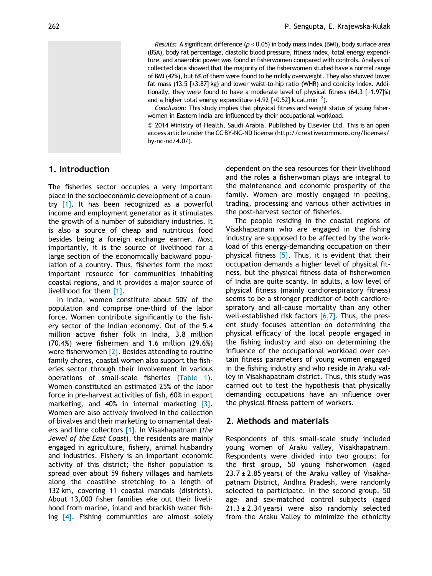Results: A significant difference ( $p < 0.05$ ) in body mass index (BMI), body surface area (BSA), body fat percentage, diastolic blood pressure, fitness index, total energy expenditure, and anaerobic power was found in fisherwomen compared with controls. Analysis of collected data showed that the majority of the fisherwomen studied have a normal range of BMI (42%), but 6% of them were found to be mildly overweight. They also showed lower fat mass (13.5  $[\pm 3.87]$  kg) and lower waist-to-hip ratio (WHR) and conicity index. Additionally, they were found to have a moderate level of physical fitness (64.3  $[t1.97]\%$ ) and a higher total energy expenditure (4.92 [±0.52] k.cal.min $^{-2}$ ).

Conclusion: This study implies that physical fitness and weight status of young fisherwomen in Eastern India are influenced by their occupational workload.

ª 2014 Ministry of Health, Saudi Arabia. Published by Elsevier Ltd. This is an open access article under the CC BY-NC-ND license (http://creativecommons.org/licenses/ by-nc-nd/4.0/).

### 1. Introduction

The fisheries sector occupies a very important place in the socioeconomic development of a country  $[1]$ . It has been recognized as a powerful income and employment generator as it stimulates the growth of a number of subsidiary industries. It is also a source of cheap and nutritious food besides being a foreign exchange earner. Most importantly, it is the source of livelihood for a large section of the economically backward population of a country. Thus, fisheries form the most important resource for communities inhabiting coastal regions, and it provides a major source of livelihood for them [\[1\].](#page-7-0)

In India, women constitute about 50% of the population and comprise one-third of the labor force. Women contribute significantly to the fishery sector of the Indian economy. Out of the 5.4 million active fisher folk in India, 3.8 million (70.4%) were fishermen and 1.6 million (29.6%) were fisherwomen  $[2]$ . Besides attending to routine family chores, coastal women also support the fisheries sector through their involvement in various operations of small-scale fisheries ([Table 1](#page-3-0)). Women constituted an estimated 25% of the labor force in pre-harvest activities of fish, 60% in export marketing, and 40% in internal marketing [\[3\].](#page-7-0) Women are also actively involved in the collection of bivalves and their marketing to ornamental deal-ers and lime collectors [\[1\].](#page-7-0) In Visakhapatnam (the Jewel of the East Coast), the residents are mainly engaged in agriculture, fishery, animal husbandry and industries. Fishery is an important economic activity of this district; the fisher population is spread over about 59 fishery villages and hamlets along the coastline stretching to a length of 132 km, covering 11 coastal mandals (districts). About 13,000 fisher families eke out their livelihood from marine, inland and brackish water fishing  $[4]$ . Fishing communities are almost solely dependent on the sea resources for their livelihood and the roles a fisherwoman plays are integral to the maintenance and economic prosperity of the family. Women are mostly engaged in peeling, trading, processing and various other activities in the post-harvest sector of fisheries.

The people residing in the coastal regions of Visakhapatnam who are engaged in the fishing industry are supposed to be affected by the workload of this energy-demanding occupation on their physical fitness [\[5\]](#page-7-0). Thus, it is evident that their occupation demands a higher level of physical fitness, but the physical fitness data of fisherwomen of India are quite scanty. In adults, a low level of physical fitness (mainly cardiorespiratory fitness) seems to be a stronger predictor of both cardiorespiratory and all-cause mortality than any other well-established risk factors  $[6,7]$ . Thus, the present study focuses attention on determining the physical efficacy of the local people engaged in the fishing industry and also on determining the influence of the occupational workload over certain fitness parameters of young women engaged in the fishing industry and who reside in Araku valley in Visakhapatnam district. Thus, this study was carried out to test the hypothesis that physically demanding occupations have an influence over the physical fitness pattern of workers.

#### 2. Methods and materials

Respondents of this small-scale study included young women of Araku valley, Visakhapatnam. Respondents were divided into two groups: for the first group, 50 young fisherwomen (aged  $23.7 \pm 2.85$  years) of the Araku valley of Visakhapatnam District, Andhra Pradesh, were randomly selected to participate. In the second group, 50 age- and sex-matched control subjects (aged  $21.3 \pm 2.34$  years) were also randomly selected from the Araku Valley to minimize the ethnicity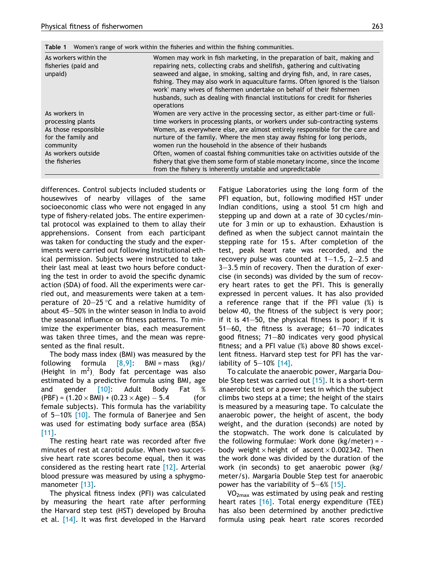<span id="page-3-0"></span>

|  | <b>Table 1</b> Women's range of work within the fisheries and within the fishing communities. |  |
|--|-----------------------------------------------------------------------------------------------|--|
|--|-----------------------------------------------------------------------------------------------|--|

| As workers within the<br>fisheries (paid and<br>unpaid)                                                                              | Women may work in fish marketing, in the preparation of bait, making and<br>repairing nets, collecting crabs and shellfish, gathering and cultivating<br>seaweed and algae, in smoking, salting and drying fish, and, in rare cases,<br>fishing. They may also work in aquaculture farms. Often ignored is the 'liaison<br>work' many wives of fishermen undertake on behalf of their fishermen<br>husbands, such as dealing with financial institutions for credit for fisheries<br>operations                                                     |
|--------------------------------------------------------------------------------------------------------------------------------------|-----------------------------------------------------------------------------------------------------------------------------------------------------------------------------------------------------------------------------------------------------------------------------------------------------------------------------------------------------------------------------------------------------------------------------------------------------------------------------------------------------------------------------------------------------|
| As workers in<br>processing plants<br>As those responsible<br>for the family and<br>community<br>As workers outside<br>the fisheries | Women are very active in the processing sector, as either part-time or full-<br>time workers in processing plants, or workers under sub-contracting systems<br>Women, as everywhere else, are almost entirely responsible for the care and<br>nurture of the family. Where the men stay away fishing for long periods,<br>women run the household in the absence of their husbands<br>Often, women of coastal fishing communities take on activities outside of the<br>fishery that give them some form of stable monetary income, since the income |
|                                                                                                                                      | from the fishery is inherently unstable and unpredictable                                                                                                                                                                                                                                                                                                                                                                                                                                                                                           |

differences. Control subjects included students or housewives of nearby villages of the same socioeconomic class who were not engaged in any type of fishery-related jobs. The entire experimental protocol was explained to them to allay their apprehensions. Consent from each participant was taken for conducting the study and the experiments were carried out following Institutional ethical permission. Subjects were instructed to take their last meal at least two hours before conducting the test in order to avoid the specific dynamic action (SDA) of food. All the experiments were carried out, and measurements were taken at a temperature of 20 $-$ 25  $^{\circ}$ C and a relative humidity of about 45–50% in the winter season in India to avoid the seasonal influence on fitness patterns. To minimize the experimenter bias, each measurement was taken three times, and the mean was represented as the final result.

The body mass index (BMI) was measured by the following formula  $[8,9]$ : BMI = mass  $(kg)$ / (Height in  $m^2$ ). Body fat percentage was also estimated by a predictive formula using BMI, age and gender [\[10\]](#page-7-0): Adult Body Fat %  $(PBF) = (1.20 \times BMI) + (0.23 \times Age) - 5.4$  (for female subjects). This formula has the variability of  $5-10\%$  [\[10\]](#page-7-0). The formula of Banerjee and Sen was used for estimating body surface area (BSA) [\[11\]](#page-8-0).

The resting heart rate was recorded after five minutes of rest at carotid pulse. When two successive heart rate scores become equal, then it was considered as the resting heart rate [\[12\]](#page-8-0). Arterial blood pressure was measured by using a sphygmomanometer [\[13\].](#page-8-0)

The physical fitness index (PFI) was calculated by measuring the heart rate after performing the Harvard step test (HST) developed by Brouha et al. [\[14\]](#page-8-0). It was first developed in the Harvard Fatigue Laboratories using the long form of the PFI equation, but, following modified HST under Indian conditions, using a stool 51 cm high and stepping up and down at a rate of 30 cycles/minute for 3 min or up to exhaustion. Exhaustion is defined as when the subject cannot maintain the stepping rate for 15 s. After completion of the test, peak heart rate was recorded, and the recovery pulse was counted at  $1-1.5$ ,  $2-2.5$  and 3–3.5 min of recovery. Then the duration of exercise (in seconds) was divided by the sum of recovery heart rates to get the PFI. This is generally expressed in percent values. It has also provided a reference range that if the PFI value (%) is below 40, the fitness of the subject is very poor; if it is 41–50, the physical fitness is poor; if it is 51–60, the fitness is average; 61–70 indicates good fitness; 71–80 indicates very good physical fitness; and a PFI value (%) above 80 shows excellent fitness. Harvard step test for PFI has the variability of  $5-10\%$  [\[14\].](#page-8-0)

To calculate the anaerobic power, Margaria Double Step test was carried out  $[15]$ . It is a short-term anaerobic test or a power test in which the subject climbs two steps at a time; the height of the stairs is measured by a measuring tape. To calculate the anaerobic power, the height of ascent, the body weight, and the duration (seconds) are noted by the stopwatch. The work done is calculated by the following formulae: Work done  $(kg/meter) =$ body weight  $\times$  height of ascent  $\times$  0.002342. Then the work done was divided by the duration of the work (in seconds) to get anaerobic power (kg/ meter/s). Margaria Double Step test for anaerobic power has the variability of 5–6% [\[15\].](#page-8-0)

 $VO<sub>2max</sub>$  was estimated by using peak and resting heart rates [\[16\]](#page-8-0). Total energy expenditure (TEE) has also been determined by another predictive formula using peak heart rate scores recorded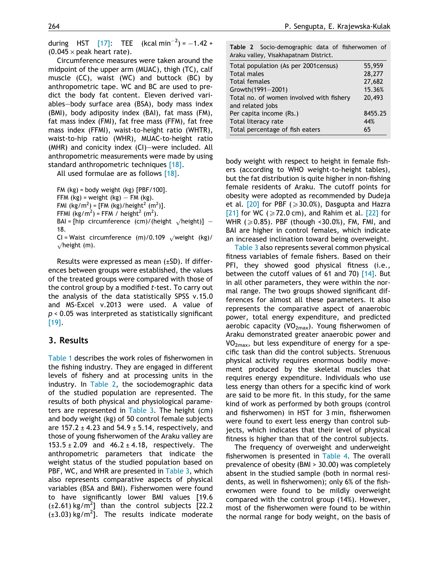during HST  $[17]$ : TEE (kcal min<sup>-2</sup>) = -1.42 +  $(0.045 \times$  peak heart rate).

Circumference measures were taken around the midpoint of the upper arm (MUAC), thigh (TC), calf muscle (CC), waist (WC) and buttock (BC) by anthropometric tape. WC and BC are used to predict the body fat content. Eleven derived variables–body surface area (BSA), body mass index (BMI), body adiposity index (BAI), fat mass (FM), fat mass index (FMI), fat free mass (FFM), fat free mass index (FFMI), waist-to-height ratio (WHTR), waist-to-hip ratio (WHR), MUAC-to-height ratio (MHR) and conicity index (CI)–were included. All anthropometric measurements were made by using standard anthropometric techniques [\[18\].](#page-8-0)

All used formulae are as follows [\[18\]](#page-8-0).

FM  $(kg)$  = body weight  $(kg)$  [PBF/100].

FFM  $(kg)$  = weight  $(kg)$  – FM  $(kg)$ .

FMI (kg/m<sup>2</sup>) = [FM (kg)/height<sup>2</sup> (m<sup>2</sup>)].

FFMI (kg/m<sup>2</sup>) = FFM / height<sup>2</sup> (m<sup>2</sup>).

BAI = [hip circumference (cm)/(height  $\sqrt{\text{height}}$ )] – 18.

CI = Waist circumference (m)/0.109  $\sqrt{\text{weight}}$  (kg)/  $\sqrt{$ height (m).

Results were expressed as mean (±SD). If differences between groups were established, the values of the treated groups were compared with those of the control group by a modified t-test. To carry out the analysis of the data statistically SPSS v.15.0 and MS-Excel v.2013 were used. A value of  $p < 0.05$  was interpreted as statistically significant [\[19\]](#page-8-0).

## 3. Results

[Table 1](#page-3-0) describes the work roles of fisherwomen in the fishing industry. They are engaged in different levels of fishery and at processing units in the industry. In Table 2, the sociodemographic data of the studied population are represented. The results of both physical and physiological parameters are represented in [Table 3.](#page-5-0) The height (cm) and body weight (kg) of 50 control female subjects are 157.2  $\pm$  4.23 and 54.9  $\pm$  5.14, respectively, and those of young fisherwomen of the Araku valley are 153.5  $\pm$  2.09 and 46.2  $\pm$  4.18, respectively. The anthropometric parameters that indicate the weight status of the studied population based on PBF, WC, and WHR are presented in [Table 3](#page-5-0), which also represents comparative aspects of physical variables (BSA and BMI). Fisherwomen were found to have significantly lower BMI values [19.6  $(\pm 2.61)$  kg/m<sup>2</sup>] than the control subjects [22.2  $(\pm 3.03)$  kg/m<sup>2</sup>]. The results indicate moderate

|  | Table 2 Socio-demographic data of fisherwomen of |  |  |
|--|--------------------------------------------------|--|--|
|  | Araku valley, Visakhapatnam District.            |  |  |

| Total population (As per 2001 census)    | 55,959  |
|------------------------------------------|---------|
| <b>Total males</b>                       | 28,277  |
| <b>Total females</b>                     | 27,682  |
| Growth(1991-2001)                        | 15.36%  |
| Total no. of women involved with fishery | 20,493  |
| and related jobs                         |         |
| Per capita income (Rs.)                  | 8455.25 |
| Total literacy rate                      | 44%     |
| Total percentage of fish eaters          | 65      |

body weight with respect to height in female fishers (according to WHO weight-to-height tables), but the fat distribution is quite higher in non-fishing female residents of Araku. The cutoff points for obesity were adopted as recommended by Dudeja et al.  $[20]$  for PBF ( $\geq 30.0\%$ ), Dasgupta and Hazra [\[21\]](#page-8-0) for WC ( $\geq$  72.0 cm), and Rahim et al. [\[22\]](#page-8-0) for WHR ( $\geqslant$  0.85). PBF (though <30.0%), FM, FMI, and BAI are higher in control females, which indicate an increased inclination toward being overweight.

[Table 3](#page-5-0) also represents several common physical fitness variables of female fishers. Based on their PFI, they showed good physical fitness (i.e., between the cutoff values of 61 and 70) [\[14\]](#page-8-0). But in all other parameters, they were within the normal range. The two groups showed significant differences for almost all these parameters. It also represents the comparative aspect of anaerobic power, total energy expenditure, and predicted aerobic capacity (VO<sub>2max</sub>). Young fisherwomen of Araku demonstrated greater anaerobic power and  $VO<sub>2max</sub>$ , but less expenditure of energy for a specific task than did the control subjects. Strenuous physical activity requires enormous bodily movement produced by the skeletal muscles that requires energy expenditure. Individuals who use less energy than others for a specific kind of work are said to be more fit. In this study, for the same kind of work as performed by both groups (control and fisherwomen) in HST for 3 min, fisherwomen were found to exert less energy than control subjects, which indicates that their level of physical fitness is higher than that of the control subjects.

The frequency of overweight and underweight fisherwomen is presented in [Table 4](#page-6-0). The overall prevalence of obesity (BMI > 30.00) was completely absent in the studied sample (both in normal residents, as well in fisherwomen); only 6% of the fisherwomen were found to be mildly overweight compared with the control group (14%). However, most of the fisherwomen were found to be within the normal range for body weight, on the basis of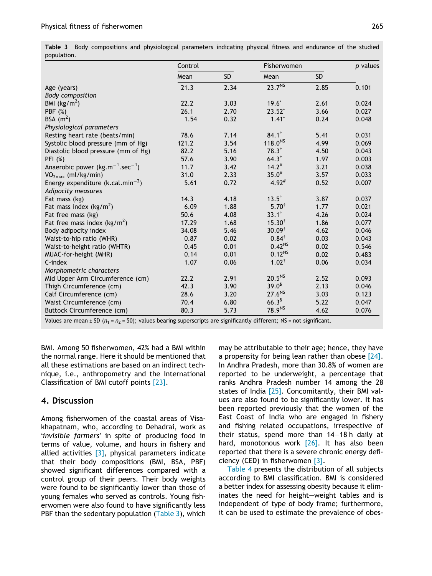<span id="page-5-0"></span>

|                                               | Control |           | Fisherwomen       |           | $p$ values |
|-----------------------------------------------|---------|-----------|-------------------|-----------|------------|
|                                               | Mean    | <b>SD</b> | Mean              | <b>SD</b> |            |
| Age (years)                                   | 21.3    | 2.34      | $23.7^{NS}$       | 2.85      | 0.101      |
| <b>Body composition</b>                       |         |           |                   |           |            |
| BMI $(kg/m^2)$                                | 22.2    | 3.03      | $19.6^*$          | 2.61      | 0.024      |
| <b>PBF</b> (%)                                | 26.1    | 2.70      | $23.52*$          | 3.66      | 0.027      |
| BSA $(m^2)$                                   | 1.54    | 0.32      | $1.41*$           | 0.24      | 0.048      |
| Physiological parameters                      |         |           |                   |           |            |
| Resting heart rate (beats/min)                | 78.6    | 7.14      | $84.1^{\dagger}$  | 5.41      | 0.031      |
| Systolic blood pressure (mm of Hg)            | 121.2   | 3.54      | $118.0^{NS}$      | 4.99      | 0.069      |
| Diastolic blood pressure (mm of Hg)           | 82.2    | 5.16      | $78.3^{\dagger}$  | 4.50      | 0.043      |
| PFI (%)                                       | 57.6    | 3.90      | $64.3^{\dagger}$  | 1.97      | 0.003      |
| Anaerobic power $(kg.m^{-1}.sec^{-1})$        | 11.7    | 3.42      | $14.2^{#}$        | 3.21      | 0.038      |
| VO <sub>2max</sub> (ml/kg/min)                | 31.0    | 2.33      | $35.0^{#}$        | 3.57      | 0.033      |
| Energy expenditure (k.cal.min <sup>-2</sup> ) | 5.61    | 0.72      | $4.92^{#}$        | 0.52      | 0.007      |
| Adipocity measures                            |         |           |                   |           |            |
| Fat mass (kg)                                 | 14.3    | 4.18      | $13.5^{\dagger}$  | 3.87      | 0.037      |
| Fat mass index $(kg/m^2)$                     | 6.09    | 1.88      | $5.70^{\dagger}$  | 1.77      | 0.021      |
| Fat free mass (kg)                            | 50.6    | 4.08      | $33.1^{\dagger}$  | 4.26      | 0.024      |
| Fat free mass index ( $\text{kg/m}^2$ )       | 17.29   | 1.68      | $15.30^{\dagger}$ | 1.86      | 0.077      |
| Body adipocity index                          | 34.08   | 5.46      | $30.09^{\dagger}$ | 4.62      | 0.046      |
| Waist-to-hip ratio (WHR)                      | 0.87    | 0.02      | $0.84^{\dagger}$  | 0.03      | 0.043      |
| Waist-to-height ratio (WHTR)                  | 0.45    | 0.01      | $0.42^{NS}$       | 0.02      | 0.546      |
| MUAC-for-height (MHR)                         | 0.14    | 0.01      | $0.12^{NS}$       | 0.02      | 0.483      |
| $C$ -index                                    | 1.07    | 0.06      | $1.02^{\dagger}$  | 0.06      | 0.034      |
| Morphometric characters                       |         |           |                   |           |            |
| Mid Upper Arm Circumference (cm)              | 22.2    | 2.91      | $20.5^{NS}$       | 2.52      | 0.093      |
| Thigh Circumference (cm)                      | 42.3    | 3.90      | $39.0^5$          | 2.13      | 0.046      |
| Calf Circumference (cm)                       | 28.6    | 3.20      | $27.6^{NS}$       | 3.03      | 0.123      |
| Waist Circumference (cm)                      | 70.4    | 6.80      | $66.3^{5}$        | 5.22      | 0.047      |
| <b>Buttock Circumference (cm)</b>             | 80.3    | 5.73      | 78.9NS            | 4.62      | 0.076      |

Values are mean  $\pm$  SD ( $n_1$  =  $n_2$  = 50); values bearing superscripts are significantly different; NS = not significant.

BMI. Among 50 fisherwomen, 42% had a BMI within the normal range. Here it should be mentioned that all these estimations are based on an indirect technique, i.e., anthropometry and the International Classification of BMI cutoff points [\[23\].](#page-8-0)

## 4. Discussion

Among fisherwomen of the coastal areas of Visakhapatnam, who, according to Dehadrai, work as 'invisible farmers' in spite of producing food in terms of value, volume, and hours in fishery and allied activities  $[3]$ , physical parameters indicate that their body compositions (BMI, BSA, PBF) showed significant differences compared with a control group of their peers. Their body weights were found to be significantly lower than those of young females who served as controls. Young fisherwomen were also found to have significantly less PBF than the sedentary population (Table 3), which may be attributable to their age; hence, they have a propensity for being lean rather than obese [\[24\]](#page-8-0). In Andhra Pradesh, more than 30.8% of women are reported to be underweight, a percentage that ranks Andhra Pradesh number 14 among the 28 states of India  $[25]$ . Concomitantly, their BMI values are also found to be significantly lower. It has been reported previously that the women of the East Coast of India who are engaged in fishery and fishing related occupations, irrespective of their status, spend more than 14–18 h daily at hard, monotonous work [\[26\]](#page-8-0). It has also been reported that there is a severe chronic energy deficiency (CED) in fisherwomen [\[3\]](#page-7-0).

[Table 4](#page-6-0) presents the distribution of all subjects according to BMI classification. BMI is considered a better index for assessing obesity because it eliminates the need for height–weight tables and is independent of type of body frame; furthermore, it can be used to estimate the prevalence of obes-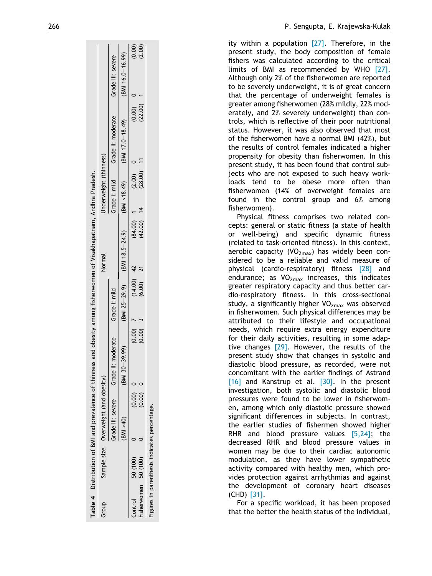<span id="page-6-0"></span>

|         | Table 4 Distribution of BMI and prevalence of thinness |                       |          |                                                    |              | and obesity among fisherwomen of Visakhapatnam, Andhra Pradesh. |              |                            |                                                             |                   |
|---------|--------------------------------------------------------|-----------------------|----------|----------------------------------------------------|--------------|-----------------------------------------------------------------|--------------|----------------------------|-------------------------------------------------------------|-------------------|
| Group   | Sample size Overweight (and obesity)                   |                       |          |                                                    |              | Normal                                                          |              | Underweight (thinness)     |                                                             |                   |
|         |                                                        |                       |          | Grade III: severe Grade II: moderate Grade I: mild |              |                                                                 |              |                            | Grade I: mild<br>Grade I: mild                              | Grade III: severe |
|         |                                                        | $(BM \rightarrow 40)$ |          | (BMI 30-39.99)                                     |              |                                                                 |              |                            | (BMI 25−29.9) (BMI 18.5−24.9) (BMI ≺18.49) (BMI 17.0−18.49) | (BMI 16.0-16.99)  |
| Control | 50 (100)                                               |                       | (0.00)   | $(0.00)$ 7                                         | $(14.00)$ 42 |                                                                 | (84.00)      | (2.00)                     | (0.00)                                                      |                   |
|         | Fisherwomen 50 (100)                                   |                       | (0.00) 0 | $(0.00)$ 3                                         | $(6.00)$ 21  |                                                                 | $(42.00)$ 14 | $- (28.00)$ 1 <sup>1</sup> | (22.00)                                                     | (0.00)            |
|         | Figures in parenthesis indicates percentage.           |                       |          |                                                    |              |                                                                 |              |                            |                                                             |                   |

ity within a population  $[27]$ . Therefore, in the present study, the body composition of female fishers was calculated according to the critical limits of BMI as recommended by WHO [\[27\].](#page-8-0) Although only 2% of the fisherwomen are reported to be severely underweight, it is of great concern that the percentage of underweight females is greater among fisherwomen (28% mildly, 22% moderately, and 2% severely underweight) than controls, which is reflective of their poor nutritional status. However, it was also observed that most of the fisherwomen have a normal BMI (42%), but the results of control females indicated a higher propensity for obesity than fisherwomen. In this

present study, it has been found that control subjects who are not exposed to such heavy workloads tend to be obese more often than

fisherwomen (14% of overweight females are found in the control group and 6% among fisherwomen). Physical fitness comprises two related concepts: general or static fitness (a state of health or well-being) and specific dynamic fitness (related to task-oriented fitness). In this context, aerobic capacity ( $VO<sub>2max</sub>$ ) has widely been considered to be a reliable and valid measure of physical (cardio-respiratory) fitness [\[28\]](#page-8-0) and endurance; as  $VO<sub>2max</sub>$  increases, this indicates greater respiratory capacity and thus better cardio-respiratory fitness. In this cross-sectional study, a significantly higher  $VO<sub>2max</sub>$  was observed in fisherwomen. Such physical differences may be attributed to their lifestyle and occupational needs, which require extra energy expenditure for their daily activities, resulting in some adaptive changes [\[29\]](#page-8-0). However, the results of the present study show that changes in systolic and diastolic blood pressure, as recorded, were not concomitant with the earlier findings of Astrand [\[16\]](#page-8-0) and Kanstrup et al. [\[30\].](#page-8-0) In the present investigation, both systolic and diastolic blood pressures were found to be lower in fisherwomen, among which only diastolic pressure showed significant differences in subjects. In contrast, the earlier studies of fishermen showed higher RHR and blood pressure values [\[5,24\]](#page-7-0); the decreased RHR and blood pressure values in women may be due to their cardiac autonomic modulation, as they have lower sympathetic activity compared with healthy men, which provides protection against arrhythmias and against the development of coronary heart diseases

For a specific workload, it has been proposed that the better the health status of the individual,

(CHD) [\[31\].](#page-8-0)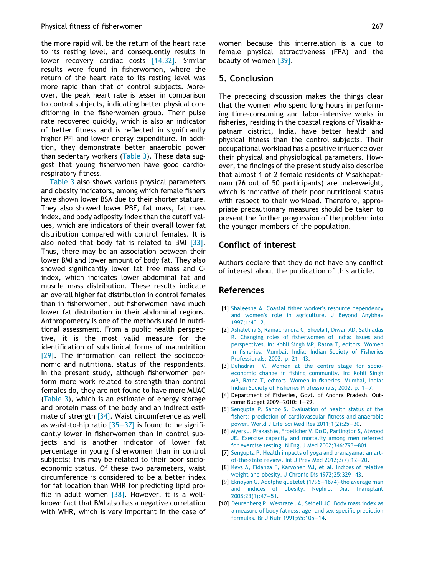<span id="page-7-0"></span>the more rapid will be the return of the heart rate to its resting level, and consequently results in lower recovery cardiac costs [\[14,32\].](#page-8-0) Similar results were found in fisherwomen, where the return of the heart rate to its resting level was more rapid than that of control subjects. Moreover, the peak heart rate is lesser in comparison to control subjects, indicating better physical conditioning in the fisherwomen group. Their pulse rate recovered quickly, which is also an indicator of better fitness and is reflected in significantly higher PFI and lower energy expenditure. In addition, they demonstrate better anaerobic power than sedentary workers ([Table 3](#page-5-0)). These data suggest that young fisherwomen have good cardiorespiratory fitness.

[Table 3](#page-5-0) also shows various physical parameters and obesity indicators, among which female fishers have shown lower BSA due to their shorter stature. They also showed lower PBF, fat mass, fat mass index, and body adiposity index than the cutoff values, which are indicators of their overall lower fat distribution compared with control females. It is also noted that body fat is related to BMI [\[33\]](#page-8-0). Thus, there may be an association between their lower BMI and lower amount of body fat. They also showed significantly lower fat free mass and Cindex, which indicates lower abdominal fat and muscle mass distribution. These results indicate an overall higher fat distribution in control females than in fisherwomen, but fisherwomen have much lower fat distribution in their abdominal regions. Anthropometry is one of the methods used in nutritional assessment. From a public health perspective, it is the most valid measure for the identification of subclinical forms of malnutrition [\[29\]](#page-8-0). The information can reflect the socioeconomic and nutritional status of the respondents. In the present study, although fisherwomen perform more work related to strength than control females do, they are not found to have more MUAC [\(Table 3](#page-5-0)), which is an estimate of energy storage and protein mass of the body and an indirect esti-mate of strength [\[34\].](#page-8-0) Waist circumference as well as waist-to-hip ratio  $[35-37]$  is found to be significantly lower in fisherwomen than in control subjects and is another indicator of lower fat percentage in young fisherwomen than in control subjects; this may be related to their poor socioeconomic status. Of these two parameters, waist circumference is considered to be a better index for fat location than WHR for predicting lipid profile in adult women  $[38]$ . However, it is a wellknown fact that BMI also has a negative correlation with WHR, which is very important in the case of women because this interrelation is a cue to female physical attractiveness (FPA) and the beauty of women [\[39\].](#page-8-0)

#### 5. Conclusion

The preceding discussion makes the things clear that the women who spend long hours in performing time-consuming and labor-intensive works in fisheries, residing in the coastal regions of Visakhapatnam district, India, have better health and physical fitness than the control subjects. Their occupational workload has a positive influence over their physical and physiological parameters. However, the findings of the present study also describe that almost 1 of 2 female residents of Visakhapatnam (26 out of 50 participants) are underweight, which is indicative of their poor nutritional status with respect to their workload. Therefore, appropriate precautionary measures should be taken to prevent the further progression of the problem into the younger members of the population.

## Conflict of interest

Authors declare that they do not have any conflict of interest about the publication of this article.

#### References

- [1] [Shaleesha A. Coastal fisher worker](http://refhub.elsevier.com/S2210-6006(14)00026-4/h0005)'s resource dependency and women'[s role in agriculture. J Beyond Anybhav](http://refhub.elsevier.com/S2210-6006(14)00026-4/h0005) [1997;1:40–2.](http://refhub.elsevier.com/S2210-6006(14)00026-4/h0005)
- [2] [Ashaletha S, Ramachandra C, Sheela I, Diwan AD, Sathiadas](http://refhub.elsevier.com/S2210-6006(14)00026-4/h0010) [R. Changing roles of fisherwomen of India: issues and](http://refhub.elsevier.com/S2210-6006(14)00026-4/h0010) [perspectives. In: Kohli Singh MP, Ratna T, editors. Women](http://refhub.elsevier.com/S2210-6006(14)00026-4/h0010) [in fisheries. Mumbai, India: Indian Society of Fisheries](http://refhub.elsevier.com/S2210-6006(14)00026-4/h0010) [Professionals; 2002. p. 21–43.](http://refhub.elsevier.com/S2210-6006(14)00026-4/h0010)
- [3] [Dehadrai PV. Women at the centre stage for socio](http://refhub.elsevier.com/S2210-6006(14)00026-4/h0015)[economic change in fishing community. In: Kohli Singh](http://refhub.elsevier.com/S2210-6006(14)00026-4/h0015) [MP, Ratna T, editors. Women in fisheries. Mumbai, India:](http://refhub.elsevier.com/S2210-6006(14)00026-4/h0015) [Indian Society of Fisheries Professionals; 2002. p. 1–7.](http://refhub.elsevier.com/S2210-6006(14)00026-4/h0015)
- [4] Department of Fisheries, Govt. of Andhra Pradesh. Outcome Budget 2009–2010: 1–29.
- [5] [Sengupta P, Sahoo S. Evaluation of health status of the](http://refhub.elsevier.com/S2210-6006(14)00026-4/h0025) [fishers: prediction of cardiovascular fitness and anaerobic](http://refhub.elsevier.com/S2210-6006(14)00026-4/h0025) [power. World J Life Sci Med Res 2011;1\(2\):25–30.](http://refhub.elsevier.com/S2210-6006(14)00026-4/h0025)
- [6] [Myers J, Prakash M, Froelicher V, Do D, Partington S, Atwood](http://refhub.elsevier.com/S2210-6006(14)00026-4/h0030) [JE. Exercise capacity and mortality among men referred](http://refhub.elsevier.com/S2210-6006(14)00026-4/h0030) [for exercise testing. N Engl J Med 2002;346:793–801.](http://refhub.elsevier.com/S2210-6006(14)00026-4/h0030)
- [7] [Sengupta P. Health impacts of yoga and pranayama: an art](http://refhub.elsevier.com/S2210-6006(14)00026-4/h0035)[of-the-state review. Int J Prev Med 2012;3\(7\):12–20.](http://refhub.elsevier.com/S2210-6006(14)00026-4/h0035)
- [8] [Keys A, Fidanza F, Karvonen MJ, et al. Indices of relative](http://refhub.elsevier.com/S2210-6006(14)00026-4/h0040) [weight and obesity. J Chronic Dis 1972;25:329–43](http://refhub.elsevier.com/S2210-6006(14)00026-4/h0040).
- [9] Eknoyan G. Adolphe quetelet (1796-1874)-the average man [and indices of obesity. Nephrol Dial Transplant](http://refhub.elsevier.com/S2210-6006(14)00026-4/h0045) [2008;23\(1\):47–51.](http://refhub.elsevier.com/S2210-6006(14)00026-4/h0045)
- [10] [Deurenberg P, Westrate JA, Seidell JC. Body mass index as](http://refhub.elsevier.com/S2210-6006(14)00026-4/h0050) [a measure of body fatness: age- and sex-specific prediction](http://refhub.elsevier.com/S2210-6006(14)00026-4/h0050) [formulas. Br J Nutr 1991;65:105–14.](http://refhub.elsevier.com/S2210-6006(14)00026-4/h0050)